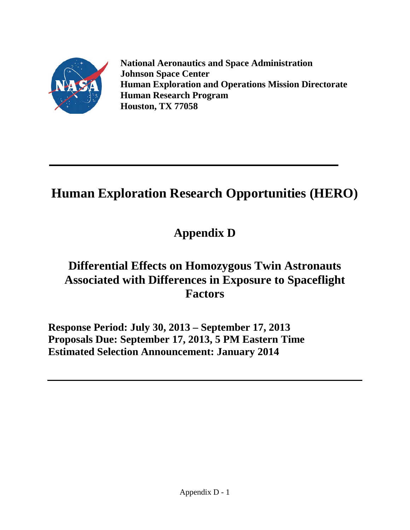

**National Aeronautics and Space Administration Johnson Space Center Human Exploration and Operations Mission Directorate Human Research Program Houston, TX 77058**

# **Human Exploration Research Opportunities (HERO)**

# **Appendix D**

# **Differential Effects on Homozygous Twin Astronauts Associated with Differences in Exposure to Spaceflight Factors**

**Response Period: July 30, 2013 – September 17, 2013 Proposals Due: September 17, 2013, 5 PM Eastern Time Estimated Selection Announcement: January 2014**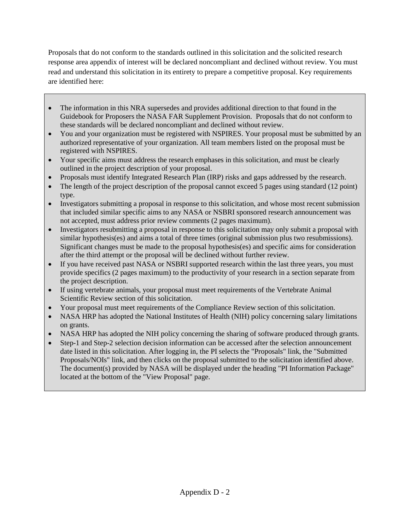Proposals that do not conform to the standards outlined in this solicitation and the solicited research response area appendix of interest will be declared noncompliant and declined without review. You must read and understand this solicitation in its entirety to prepare a competitive proposal. Key requirements are identified here:

- The information in this NRA supersedes and provides additional direction to that found in the Guidebook for Proposers the NASA FAR Supplement Provision. Proposals that do not conform to these standards will be declared noncompliant and declined without review.
- You and your organization must be registered with NSPIRES. Your proposal must be submitted by an authorized representative of your organization. All team members listed on the proposal must be registered with NSPIRES.
- Your specific aims must address the research emphases in this solicitation, and must be clearly outlined in the project description of your proposal.
- Proposals must identify Integrated Research Plan (IRP) risks and gaps addressed by the research.
- The length of the project description of the proposal cannot exceed 5 pages using standard (12 point) type.
- Investigators submitting a proposal in response to this solicitation, and whose most recent submission that included similar specific aims to any NASA or NSBRI sponsored research announcement was not accepted, must address prior review comments (2 pages maximum).
- Investigators resubmitting a proposal in response to this solicitation may only submit a proposal with similar hypothesis(es) and aims a total of three times (original submission plus two resubmissions). Significant changes must be made to the proposal hypothesis(es) and specific aims for consideration after the third attempt or the proposal will be declined without further review.
- If you have received past NASA or NSBRI supported research within the last three years, you must provide specifics (2 pages maximum) to the productivity of your research in a section separate from the project description.
- If using vertebrate animals, your proposal must meet requirements of the Vertebrate Animal Scientific Review section of this solicitation.
- Your proposal must meet requirements of the Compliance Review section of this solicitation.
- NASA HRP has adopted the National Institutes of Health (NIH) policy concerning salary limitations on grants.
- NASA HRP has adopted the NIH policy concerning the sharing of software produced through grants.
- Step-1 and Step-2 selection decision information can be accessed after the selection announcement date listed in this solicitation. After logging in, the PI selects the "Proposals" link, the "Submitted Proposals/NOIs" link, and then clicks on the proposal submitted to the solicitation identified above. The document(s) provided by NASA will be displayed under the heading "PI Information Package" located at the bottom of the "View Proposal" page.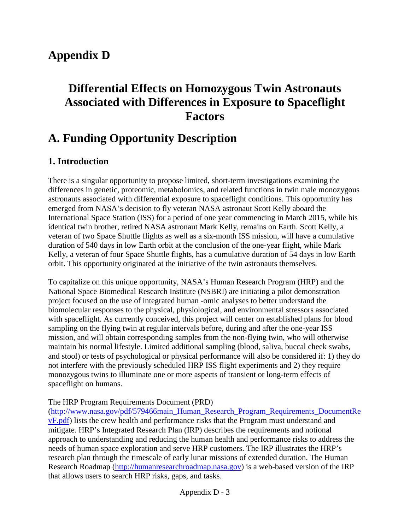# **Appendix D**

# **Differential Effects on Homozygous Twin Astronauts Associated with Differences in Exposure to Spaceflight Factors**

# **A. Funding Opportunity Description**

## **1. Introduction**

There is a singular opportunity to propose limited, short-term investigations examining the differences in genetic, proteomic, metabolomics, and related functions in twin male monozygous astronauts associated with differential exposure to spaceflight conditions. This opportunity has emerged from NASA's decision to fly veteran NASA astronaut Scott Kelly aboard the International Space Station (ISS) for a period of one year commencing in March 2015, while his identical twin brother, retired NASA astronaut Mark Kelly, remains on Earth. Scott Kelly, a veteran of two Space Shuttle flights as well as a six-month ISS mission, will have a cumulative duration of 540 days in low Earth orbit at the conclusion of the one-year flight, while Mark Kelly, a veteran of four Space Shuttle flights, has a cumulative duration of 54 days in low Earth orbit. This opportunity originated at the initiative of the twin astronauts themselves.

To capitalize on this unique opportunity, NASA's Human Research Program (HRP) and the National Space Biomedical Research Institute (NSBRI) are initiating a pilot demonstration project focused on the use of integrated human -omic analyses to better understand the biomolecular responses to the physical, physiological, and environmental stressors associated with spaceflight. As currently conceived, this project will center on established plans for blood sampling on the flying twin at regular intervals before, during and after the one-year ISS mission, and will obtain corresponding samples from the non-flying twin, who will otherwise maintain his normal lifestyle. Limited additional sampling (blood, saliva, buccal cheek swabs, and stool) or tests of psychological or physical performance will also be considered if: 1) they do not interfere with the previously scheduled HRP ISS flight experiments and 2) they require monozygous twins to illuminate one or more aspects of transient or long-term effects of spaceflight on humans.

#### The HRP Program Requirements Document (PRD)

[\(http://www.nasa.gov/pdf/579466main\\_Human\\_Research\\_Program\\_Requirements\\_DocumentRe](http://www.nasa.gov/pdf/579466main_Human_Research_Program_Requirements_DocumentRevF.pdf) [vF.pdf\)](http://www.nasa.gov/pdf/579466main_Human_Research_Program_Requirements_DocumentRevF.pdf) lists the crew health and performance risks that the Program must understand and mitigate. HRP's Integrated Research Plan (IRP) describes the requirements and notional approach to understanding and reducing the human health and performance risks to address the needs of human space exploration and serve HRP customers. The IRP illustrates the HRP's research plan through the timescale of early lunar missions of extended duration. The Human Research Roadmap [\(http://humanresearchroadmap.nasa.gov\)](http://humanresearchroadmap.nasa.gov/) is a web-based version of the IRP that allows users to search HRP risks, gaps, and tasks.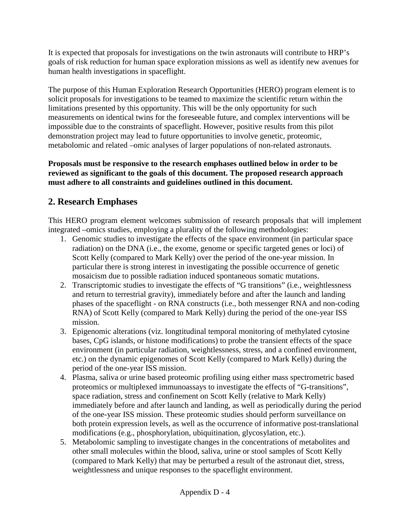It is expected that proposals for investigations on the twin astronauts will contribute to HRP's goals of risk reduction for human space exploration missions as well as identify new avenues for human health investigations in spaceflight.

The purpose of this Human Exploration Research Opportunities (HERO) program element is to solicit proposals for investigations to be teamed to maximize the scientific return within the limitations presented by this opportunity. This will be the only opportunity for such measurements on identical twins for the foreseeable future, and complex interventions will be impossible due to the constraints of spaceflight. However, positive results from this pilot demonstration project may lead to future opportunities to involve genetic, proteomic, metabolomic and related –omic analyses of larger populations of non-related astronauts.

#### **Proposals must be responsive to the research emphases outlined below in order to be reviewed as significant to the goals of this document. The proposed research approach must adhere to all constraints and guidelines outlined in this document.**

# **2. Research Emphases**

This HERO program element welcomes submission of research proposals that will implement integrated –omics studies, employing a plurality of the following methodologies:

- 1. Genomic studies to investigate the effects of the space environment (in particular space radiation) on the DNA (i.e., the exome, genome or specific targeted genes or loci) of Scott Kelly (compared to Mark Kelly) over the period of the one-year mission. In particular there is strong interest in investigating the possible occurrence of genetic mosaicism due to possible radiation induced spontaneous somatic mutations.
- 2. Transcriptomic studies to investigate the effects of "G transitions" (i.e., weightlessness and return to terrestrial gravity), immediately before and after the launch and landing phases of the spaceflight - on RNA constructs (i.e., both messenger RNA and non-coding RNA) of Scott Kelly (compared to Mark Kelly) during the period of the one-year ISS mission.
- 3. Epigenomic alterations (viz. longtitudinal temporal monitoring of methylated cytosine bases, CpG islands, or histone modifications) to probe the transient effects of the space environment (in particular radiation, weightlessness, stress, and a confined environment, etc.) on the dynamic epigenomes of Scott Kelly (compared to Mark Kelly) during the period of the one-year ISS mission.
- 4. Plasma, saliva or urine based proteomic profiling using either mass spectrometric based proteomics or multiplexed immunoassays to investigate the effects of "G-transitions", space radiation, stress and confinement on Scott Kelly (relative to Mark Kelly) immediately before and after launch and landing, as well as periodically during the period of the one-year ISS mission. These proteomic studies should perform surveillance on both protein expression levels, as well as the occurrence of informative post-translational modifications (e.g., phosphorylation, ubiquitination, glycosylation, etc.).
- 5. Metabolomic sampling to investigate changes in the concentrations of metabolites and other small molecules within the blood, saliva, urine or stool samples of Scott Kelly (compared to Mark Kelly) that may be perturbed a result of the astronaut diet, stress, weightlessness and unique responses to the spaceflight environment.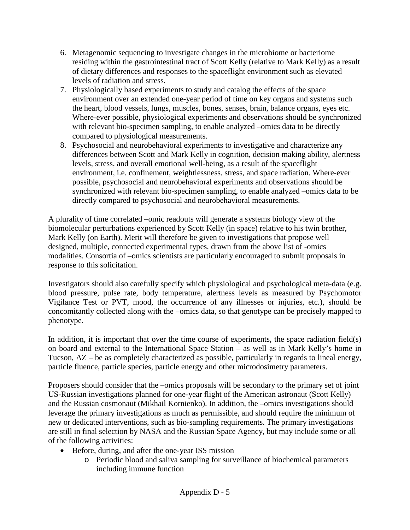- 6. Metagenomic sequencing to investigate changes in the microbiome or bacteriome residing within the gastrointestinal tract of Scott Kelly (relative to Mark Kelly) as a result of dietary differences and responses to the spaceflight environment such as elevated levels of radiation and stress.
- 7. Physiologically based experiments to study and catalog the effects of the space environment over an extended one-year period of time on key organs and systems such the heart, blood vessels, lungs, muscles, bones, senses, brain, balance organs, eyes etc. Where-ever possible, physiological experiments and observations should be synchronized with relevant bio-specimen sampling, to enable analyzed –omics data to be directly compared to physiological measurements.
- 8. Psychosocial and neurobehavioral experiments to investigative and characterize any differences between Scott and Mark Kelly in cognition, decision making ability, alertness levels, stress, and overall emotional well-being, as a result of the spaceflight environment, i.e. confinement, weightlessness, stress, and space radiation. Where-ever possible, psychosocial and neurobehavioral experiments and observations should be synchronized with relevant bio-specimen sampling, to enable analyzed –omics data to be directly compared to psychosocial and neurobehavioral measurements.

A plurality of time correlated –omic readouts will generate a systems biology view of the biomolecular perturbations experienced by Scott Kelly (in space) relative to his twin brother, Mark Kelly (on Earth). Merit will therefore be given to investigations that propose well designed, multiple, connected experimental types, drawn from the above list of -omics modalities. Consortia of –omics scientists are particularly encouraged to submit proposals in response to this solicitation.

Investigators should also carefully specify which physiological and psychological meta-data (e.g. blood pressure, pulse rate, body temperature, alertness levels as measured by Psychomotor Vigilance Test or PVT, mood, the occurrence of any illnesses or injuries, etc.), should be concomitantly collected along with the –omics data, so that genotype can be precisely mapped to phenotype.

In addition, it is important that over the time course of experiments, the space radiation field(s) on board and external to the International Space Station – as well as in Mark Kelly's home in Tucson, AZ – be as completely characterized as possible, particularly in regards to lineal energy, particle fluence, particle species, particle energy and other microdosimetry parameters.

Proposers should consider that the –omics proposals will be secondary to the primary set of joint US-Russian investigations planned for one-year flight of the American astronaut (Scott Kelly) and the Russian cosmonaut (Mikhail Kornienko). In addition, the –omics investigations should leverage the primary investigations as much as permissible, and should require the minimum of new or dedicated interventions, such as bio-sampling requirements. The primary investigations are still in final selection by NASA and the Russian Space Agency, but may include some or all of the following activities:

- Before, during, and after the one-year ISS mission
	- o Periodic blood and saliva sampling for surveillance of biochemical parameters including immune function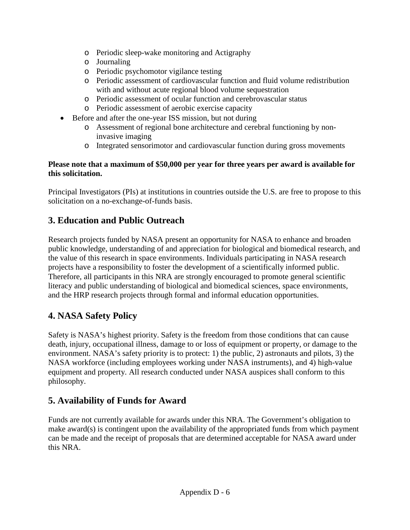- o Periodic sleep-wake monitoring and Actigraphy
- o Journaling
- o Periodic psychomotor vigilance testing
- o Periodic assessment of cardiovascular function and fluid volume redistribution with and without acute regional blood volume sequestration
- o Periodic assessment of ocular function and cerebrovascular status
- o Periodic assessment of aerobic exercise capacity
- Before and after the one-year ISS mission, but not during
	- o Assessment of regional bone architecture and cerebral functioning by noninvasive imaging
	- o Integrated sensorimotor and cardiovascular function during gross movements

#### **Please note that a maximum of \$50,000 per year for three years per award is available for this solicitation.**

Principal Investigators (PIs) at institutions in countries outside the U.S. are free to propose to this solicitation on a no-exchange-of-funds basis.

# **3. Education and Public Outreach**

Research projects funded by NASA present an opportunity for NASA to enhance and broaden public knowledge, understanding of and appreciation for biological and biomedical research, and the value of this research in space environments. Individuals participating in NASA research projects have a responsibility to foster the development of a scientifically informed public. Therefore, all participants in this NRA are strongly encouraged to promote general scientific literacy and public understanding of biological and biomedical sciences, space environments, and the HRP research projects through formal and informal education opportunities.

# **4. NASA Safety Policy**

Safety is NASA's highest priority. Safety is the freedom from those conditions that can cause death, injury, occupational illness, damage to or loss of equipment or property, or damage to the environment. NASA's safety priority is to protect: 1) the public, 2) astronauts and pilots, 3) the NASA workforce (including employees working under NASA instruments), and 4) high-value equipment and property. All research conducted under NASA auspices shall conform to this philosophy.

# **5. Availability of Funds for Award**

Funds are not currently available for awards under this NRA. The Government's obligation to make award(s) is contingent upon the availability of the appropriated funds from which payment can be made and the receipt of proposals that are determined acceptable for NASA award under this NRA.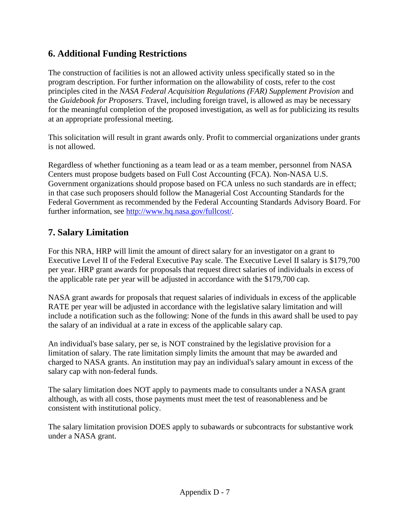## **6. Additional Funding Restrictions**

The construction of facilities is not an allowed activity unless specifically stated so in the program description. For further information on the allowability of costs, refer to the cost principles cited in the *NASA Federal Acquisition Regulations (FAR) Supplement Provision* and the *Guidebook for Proposers*. Travel, including foreign travel, is allowed as may be necessary for the meaningful completion of the proposed investigation, as well as for publicizing its results at an appropriate professional meeting.

This solicitation will result in grant awards only. Profit to commercial organizations under grants is not allowed.

Regardless of whether functioning as a team lead or as a team member, personnel from NASA Centers must propose budgets based on Full Cost Accounting (FCA). Non-NASA U.S. Government organizations should propose based on FCA unless no such standards are in effect; in that case such proposers should follow the Managerial Cost Accounting Standards for the Federal Government as recommended by the Federal Accounting Standards Advisory Board. For further information, see [http://www.hq.nasa.gov/fullcost/.](http://www.hq.nasa.gov/fullcost/)

## **7. Salary Limitation**

For this NRA, HRP will limit the amount of direct salary for an investigator on a grant to Executive Level II of the Federal Executive Pay scale. The Executive Level II salary is \$179,700 per year. HRP grant awards for proposals that request direct salaries of individuals in excess of the applicable rate per year will be adjusted in accordance with the \$179,700 cap.

NASA grant awards for proposals that request salaries of individuals in excess of the applicable RATE per year will be adjusted in accordance with the legislative salary limitation and will include a notification such as the following: None of the funds in this award shall be used to pay the salary of an individual at a rate in excess of the applicable salary cap.

An individual's base salary, per se, is NOT constrained by the legislative provision for a limitation of salary. The rate limitation simply limits the amount that may be awarded and charged to NASA grants. An institution may pay an individual's salary amount in excess of the salary cap with non-federal funds.

The salary limitation does NOT apply to payments made to consultants under a NASA grant although, as with all costs, those payments must meet the test of reasonableness and be consistent with institutional policy.

The salary limitation provision DOES apply to subawards or subcontracts for substantive work under a NASA grant.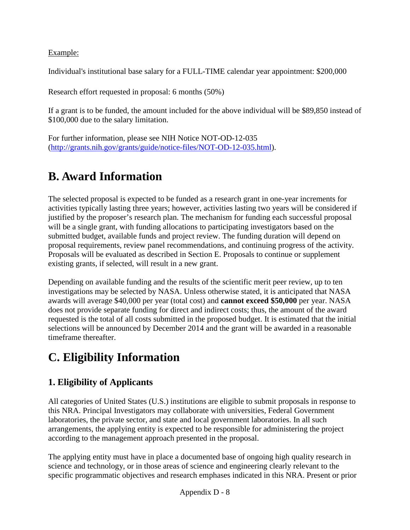Example:

Individual's institutional base salary for a FULL-TIME calendar year appointment: \$200,000

Research effort requested in proposal: 6 months (50%)

If a grant is to be funded, the amount included for the above individual will be \$89,850 instead of \$100,000 due to the salary limitation.

For further information, please see NIH Notice NOT-OD-12-035 [\(http://grants.nih.gov/grants/guide/notice-files/NOT-OD-12-035.html\)](http://grants.nih.gov/grants/guide/notice-files/NOT-OD-12-035.html).

# **B. Award Information**

The selected proposal is expected to be funded as a research grant in one-year increments for activities typically lasting three years; however, activities lasting two years will be considered if justified by the proposer's research plan. The mechanism for funding each successful proposal will be a single grant, with funding allocations to participating investigators based on the submitted budget, available funds and project review. The funding duration will depend on proposal requirements, review panel recommendations, and continuing progress of the activity. Proposals will be evaluated as described in Section E. Proposals to continue or supplement existing grants, if selected, will result in a new grant.

Depending on available funding and the results of the scientific merit peer review, up to ten investigations may be selected by NASA. Unless otherwise stated, it is anticipated that NASA awards will average \$40,000 per year (total cost) and **cannot exceed \$50,000** per year. NASA does not provide separate funding for direct and indirect costs; thus, the amount of the award requested is the total of all costs submitted in the proposed budget. It is estimated that the initial selections will be announced by December 2014 and the grant will be awarded in a reasonable timeframe thereafter.

# **C. Eligibility Information**

# **1. Eligibility of Applicants**

All categories of United States (U.S.) institutions are eligible to submit proposals in response to this NRA. Principal Investigators may collaborate with universities, Federal Government laboratories, the private sector, and state and local government laboratories. In all such arrangements, the applying entity is expected to be responsible for administering the project according to the management approach presented in the proposal.

The applying entity must have in place a documented base of ongoing high quality research in science and technology, or in those areas of science and engineering clearly relevant to the specific programmatic objectives and research emphases indicated in this NRA. Present or prior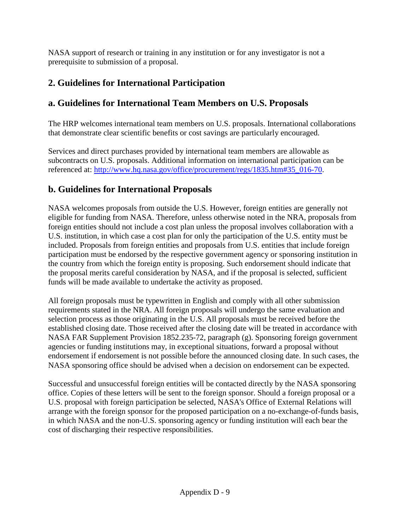NASA support of research or training in any institution or for any investigator is not a prerequisite to submission of a proposal.

# **2. Guidelines for International Participation**

# **a. Guidelines for International Team Members on U.S. Proposals**

The HRP welcomes international team members on U.S. proposals. International collaborations that demonstrate clear scientific benefits or cost savings are particularly encouraged.

Services and direct purchases provided by international team members are allowable as subcontracts on U.S. proposals. Additional information on international participation can be referenced at: [http://www.hq.nasa.gov/office/procurement/regs/1835.htm#35\\_016-70.](http://www.hq.nasa.gov/office/procurement/regs/1835.htm#35_016-70)

# **b. Guidelines for International Proposals**

NASA welcomes proposals from outside the U.S. However, foreign entities are generally not eligible for funding from NASA. Therefore, unless otherwise noted in the NRA, proposals from foreign entities should not include a cost plan unless the proposal involves collaboration with a U.S. institution, in which case a cost plan for only the participation of the U.S. entity must be included. Proposals from foreign entities and proposals from U.S. entities that include foreign participation must be endorsed by the respective government agency or sponsoring institution in the country from which the foreign entity is proposing. Such endorsement should indicate that the proposal merits careful consideration by NASA, and if the proposal is selected, sufficient funds will be made available to undertake the activity as proposed.

All foreign proposals must be typewritten in English and comply with all other submission requirements stated in the NRA. All foreign proposals will undergo the same evaluation and selection process as those originating in the U.S. All proposals must be received before the established closing date. Those received after the closing date will be treated in accordance with NASA FAR Supplement Provision 1852.235-72, paragraph (g). Sponsoring foreign government agencies or funding institutions may, in exceptional situations, forward a proposal without endorsement if endorsement is not possible before the announced closing date. In such cases, the NASA sponsoring office should be advised when a decision on endorsement can be expected.

Successful and unsuccessful foreign entities will be contacted directly by the NASA sponsoring office. Copies of these letters will be sent to the foreign sponsor. Should a foreign proposal or a U.S. proposal with foreign participation be selected, NASA's Office of External Relations will arrange with the foreign sponsor for the proposed participation on a no-exchange-of-funds basis, in which NASA and the non-U.S. sponsoring agency or funding institution will each bear the cost of discharging their respective responsibilities.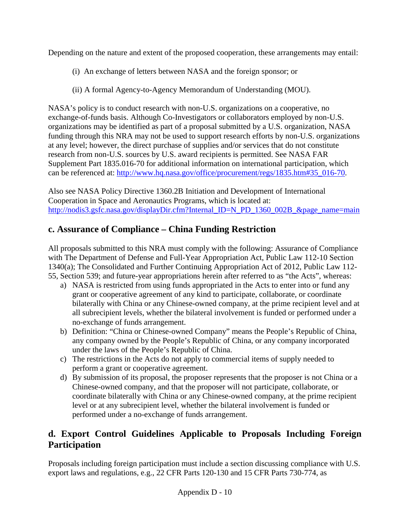Depending on the nature and extent of the proposed cooperation, these arrangements may entail:

- (i) An exchange of letters between NASA and the foreign sponsor; or
- (ii) A formal Agency-to-Agency Memorandum of Understanding (MOU).

NASA's policy is to conduct research with non-U.S. organizations on a cooperative, no exchange-of-funds basis. Although Co-Investigators or collaborators employed by non-U.S. organizations may be identified as part of a proposal submitted by a U.S. organization, NASA funding through this NRA may not be used to support research efforts by non-U.S. organizations at any level; however, the direct purchase of supplies and/or services that do not constitute research from non-U.S. sources by U.S. award recipients is permitted. See NASA FAR Supplement Part 1835.016-70 for additional information on international participation, which can be referenced at: [http://www.hq.nasa.gov/office/procurement/regs/1835.htm#35\\_016-70.](http://www.hq.nasa.gov/office/procurement/regs/1835.htm#35_016-70)

Also see NASA Policy Directive 1360.2B Initiation and Development of International Cooperation in Space and Aeronautics Programs, which is located at: [http://nodis3.gsfc.nasa.gov/displayDir.cfm?Internal\\_ID=N\\_PD\\_1360\\_002B\\_&page\\_name=main](http://nodis3.gsfc.nasa.gov/displayDir.cfm?Internal_ID=N_PD_1360_002B_&page_name=main)

# **c. Assurance of Compliance – China Funding Restriction**

All proposals submitted to this NRA must comply with the following: Assurance of Compliance with The Department of Defense and Full-Year Appropriation Act, Public Law 112-10 Section 1340(a); The Consolidated and Further Continuing Appropriation Act of 2012, Public Law 112- 55, Section 539; and future-year appropriations herein after referred to as "the Acts", whereas:

- a) NASA is restricted from using funds appropriated in the Acts to enter into or fund any grant or cooperative agreement of any kind to participate, collaborate, or coordinate bilaterally with China or any Chinese-owned company, at the prime recipient level and at all subrecipient levels, whether the bilateral involvement is funded or performed under a no-exchange of funds arrangement.
- b) Definition: "China or Chinese-owned Company" means the People's Republic of China, any company owned by the People's Republic of China, or any company incorporated under the laws of the People's Republic of China.
- c) The restrictions in the Acts do not apply to commercial items of supply needed to perform a grant or cooperative agreement.
- d) By submission of its proposal, the proposer represents that the proposer is not China or a Chinese-owned company, and that the proposer will not participate, collaborate, or coordinate bilaterally with China or any Chinese-owned company, at the prime recipient level or at any subrecipient level, whether the bilateral involvement is funded or performed under a no-exchange of funds arrangement.

# **d. Export Control Guidelines Applicable to Proposals Including Foreign Participation**

Proposals including foreign participation must include a section discussing compliance with U.S. export laws and regulations, e.g., 22 CFR Parts 120-130 and 15 CFR Parts 730-774, as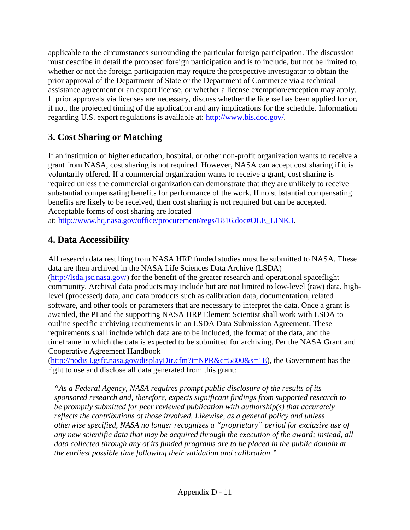applicable to the circumstances surrounding the particular foreign participation. The discussion must describe in detail the proposed foreign participation and is to include, but not be limited to, whether or not the foreign participation may require the prospective investigator to obtain the prior approval of the Department of State or the Department of Commerce via a technical assistance agreement or an export license, or whether a license exemption/exception may apply. If prior approvals via licenses are necessary, discuss whether the license has been applied for or, if not, the projected timing of the application and any implications for the schedule. Information regarding U.S. export regulations is available at: [http://www.bis.doc.gov/.](http://www.bis.doc.gov/)

## **3. Cost Sharing or Matching**

If an institution of higher education, hospital, or other non-profit organization wants to receive a grant from NASA, cost sharing is not required. However, NASA can accept cost sharing if it is voluntarily offered. If a commercial organization wants to receive a grant, cost sharing is required unless the commercial organization can demonstrate that they are unlikely to receive substantial compensating benefits for performance of the work. If no substantial compensating benefits are likely to be received, then cost sharing is not required but can be accepted. Acceptable forms of cost sharing are located

at: [http://www.hq.nasa.gov/office/procurement/regs/1816.doc#OLE\\_LINK3.](http://www.hq.nasa.gov/office/procurement/regs/1816.doc#OLE_LINK3)

# **4. Data Accessibility**

All research data resulting from NASA HRP funded studies must be submitted to NASA. These data are then archived in the NASA Life Sciences Data Archive (LSDA) [\(http://lsda.jsc.nasa.gov/\)](http://lsda.jsc.nasa.gov/) for the benefit of the greater research and operational spaceflight community. Archival data products may include but are not limited to low-level (raw) data, highlevel (processed) data, and data products such as calibration data, documentation, related software, and other tools or parameters that are necessary to interpret the data. Once a grant is awarded, the PI and the supporting NASA HRP Element Scientist shall work with LSDA to outline specific archiving requirements in an LSDA Data Submission Agreement. These requirements shall include which data are to be included, the format of the data, and the timeframe in which the data is expected to be submitted for archiving. Per the NASA Grant and Cooperative Agreement Handbook

[\(http://nodis3.gsfc.nasa.gov/displayDir.cfm?t=NPR&c=5800&s=1E\)](http://nodis3.gsfc.nasa.gov/displayDir.cfm?t=NPR&c=5800&s=1E), the Government has the right to use and disclose all data generated from this grant:

*"As a Federal Agency, NASA requires prompt public disclosure of the results of its sponsored research and, therefore, expects significant findings from supported research to be promptly submitted for peer reviewed publication with authorship(s) that accurately reflects the contributions of those involved. Likewise, as a general policy and unless otherwise specified, NASA no longer recognizes a "proprietary" period for exclusive use of any new scientific data that may be acquired through the execution of the award; instead, all data collected through any of its funded programs are to be placed in the public domain at the earliest possible time following their validation and calibration."*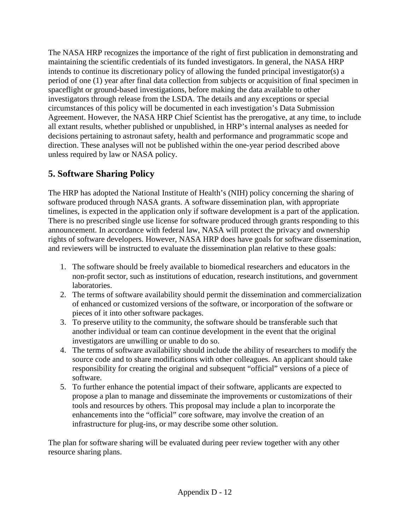The NASA HRP recognizes the importance of the right of first publication in demonstrating and maintaining the scientific credentials of its funded investigators. In general, the NASA HRP intends to continue its discretionary policy of allowing the funded principal investigator(s) a period of one (1) year after final data collection from subjects or acquisition of final specimen in spaceflight or ground-based investigations, before making the data available to other investigators through release from the LSDA. The details and any exceptions or special circumstances of this policy will be documented in each investigation's Data Submission Agreement. However, the NASA HRP Chief Scientist has the prerogative, at any time, to include all extant results, whether published or unpublished, in HRP's internal analyses as needed for decisions pertaining to astronaut safety, health and performance and programmatic scope and direction. These analyses will not be published within the one-year period described above unless required by law or NASA policy.

# **5. Software Sharing Policy**

The HRP has adopted the National Institute of Health's (NIH) policy concerning the sharing of software produced through NASA grants. A software dissemination plan, with appropriate timelines, is expected in the application only if software development is a part of the application. There is no prescribed single use license for software produced through grants responding to this announcement. In accordance with federal law, NASA will protect the privacy and ownership rights of software developers. However, NASA HRP does have goals for software dissemination, and reviewers will be instructed to evaluate the dissemination plan relative to these goals:

- 1. The software should be freely available to biomedical researchers and educators in the non-profit sector, such as institutions of education, research institutions, and government laboratories.
- 2. The terms of software availability should permit the dissemination and commercialization of enhanced or customized versions of the software, or incorporation of the software or pieces of it into other software packages.
- 3. To preserve utility to the community, the software should be transferable such that another individual or team can continue development in the event that the original investigators are unwilling or unable to do so.
- 4. The terms of software availability should include the ability of researchers to modify the source code and to share modifications with other colleagues. An applicant should take responsibility for creating the original and subsequent "official" versions of a piece of software.
- 5. To further enhance the potential impact of their software, applicants are expected to propose a plan to manage and disseminate the improvements or customizations of their tools and resources by others. This proposal may include a plan to incorporate the enhancements into the "official" core software, may involve the creation of an infrastructure for plug-ins, or may describe some other solution.

The plan for software sharing will be evaluated during peer review together with any other resource sharing plans.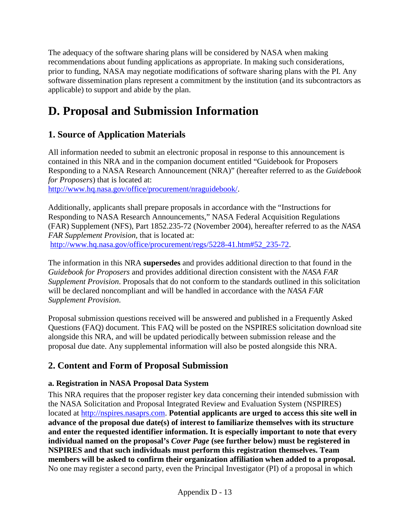The adequacy of the software sharing plans will be considered by NASA when making recommendations about funding applications as appropriate. In making such considerations, prior to funding, NASA may negotiate modifications of software sharing plans with the PI. Any software dissemination plans represent a commitment by the institution (and its subcontractors as applicable) to support and abide by the plan.

# **D. Proposal and Submission Information**

# **1. Source of Application Materials**

All information needed to submit an electronic proposal in response to this announcement is contained in this NRA and in the companion document entitled "Guidebook for Proposers Responding to a NASA Research Announcement (NRA)" (hereafter referred to as the *Guidebook for Proposers*) that is located at:

[http://www.hq.nasa.gov/office/procurement/nraguidebook/.](http://www.hq.nasa.gov/office/procurement/nraguidebook/)

Additionally, applicants shall prepare proposals in accordance with the "Instructions for Responding to NASA Research Announcements," NASA Federal Acquisition Regulations (FAR) Supplement (NFS), Part 1852.235-72 (November 2004), hereafter referred to as the *NASA FAR Supplement Provision,* that is located at: [http://www.hq.nasa.gov/office/procurement/regs/5228-41.htm#52\\_235-72.](http://www.hq.nasa.gov/office/procurement/regs/5228-41.htm#52_235-72)

The information in this NRA **supersedes** and provides additional direction to that found in the *Guidebook for Proposers* and provides additional direction consistent with the *NASA FAR Supplement Provision*. Proposals that do not conform to the standards outlined in this solicitation will be declared noncompliant and will be handled in accordance with the *NASA FAR Supplement Provision*.

Proposal submission questions received will be answered and published in a Frequently Asked Questions (FAQ) document. This FAQ will be posted on the NSPIRES solicitation download site alongside this NRA, and will be updated periodically between submission release and the proposal due date. Any supplemental information will also be posted alongside this NRA.

# **2. Content and Form of Proposal Submission**

#### **a. Registration in NASA Proposal Data System**

This NRA requires that the proposer register key data concerning their intended submission with the NASA Solicitation and Proposal Integrated Review and Evaluation System (NSPIRES) located at [http://nspires.nasaprs.com.](http://nspires.nasaprs.com/) **Potential applicants are urged to access this site well in advance of the proposal due date(s) of interest to familiarize themselves with its structure and enter the requested identifier information. It is especially important to note that every individual named on the proposal's** *Cover Page* **(see further below) must be registered in NSPIRES and that such individuals must perform this registration themselves. Team members will be asked to confirm their organization affiliation when added to a proposal.** No one may register a second party, even the Principal Investigator (PI) of a proposal in which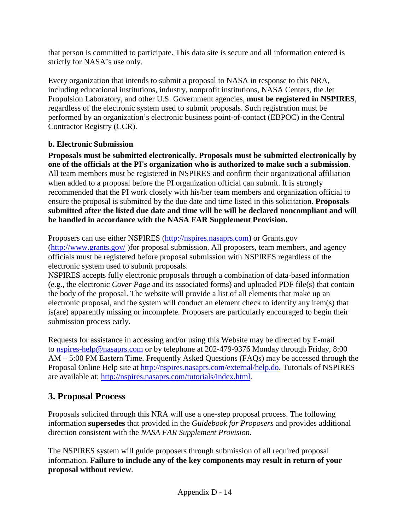that person is committed to participate. This data site is secure and all information entered is strictly for NASA's use only.

Every organization that intends to submit a proposal to NASA in response to this NRA, including educational institutions, industry, nonprofit institutions, NASA Centers, the Jet Propulsion Laboratory, and other U.S. Government agencies, **must be registered in NSPIRES**, regardless of the electronic system used to submit proposals. Such registration must be performed by an organization's electronic business point-of-contact (EBPOC) in the Central Contractor Registry (CCR).

#### **b. Electronic Submission**

**Proposals must be submitted electronically. Proposals must be submitted electronically by one of the officials at the PI's organization who is authorized to make such a submission**. All team members must be registered in NSPIRES and confirm their organizational affiliation when added to a proposal before the PI organization official can submit. It is strongly recommended that the PI work closely with his/her team members and organization official to ensure the proposal is submitted by the due date and time listed in this solicitation. **Proposals submitted after the listed due date and time will be will be declared noncompliant and will be handled in accordance with the NASA FAR Supplement Provision.**

Proposers can use either NSPIRES [\(http://nspires.nasaprs.com\)](http://nspires.nasaprs.com/) or Grants.gov [\(http://www.grants.gov/](http://www.grants.gov/) )for proposal submission. All proposers, team members, and agency officials must be registered before proposal submission with NSPIRES regardless of the electronic system used to submit proposals.

NSPIRES accepts fully electronic proposals through a combination of data-based information (e.g., the electronic *Cover Page* and its associated forms) and uploaded PDF file(s) that contain the body of the proposal. The website will provide a list of all elements that make up an electronic proposal, and the system will conduct an element check to identify any item(s) that is(are) apparently missing or incomplete. Proposers are particularly encouraged to begin their submission process early.

Requests for assistance in accessing and/or using this Website may be directed by E-mail to [nspires-help@nasaprs.com](mailto:nspires-help@nasaprs.com) or by telephone at 202-479-9376 Monday through Friday, 8:00 AM – 5:00 PM Eastern Time. Frequently Asked Questions (FAQs) may be accessed through the Proposal Online Help site at [http://nspires.nasaprs.com/external/help.do.](http://nspires.nasaprs.com/external/help.do) Tutorials of NSPIRES are available at: [http://nspires.nasaprs.com/tutorials/index.html.](http://nspires.nasaprs.com/tutorials/index.html)

# **3. Proposal Process**

Proposals solicited through this NRA will use a one-step proposal process. The following information **supersedes** that provided in the *Guidebook for Proposers* and provides additional direction consistent with the *NASA FAR Supplement Provision*.

The NSPIRES system will guide proposers through submission of all required proposal information. **Failure to include any of the key components may result in return of your proposal without review**.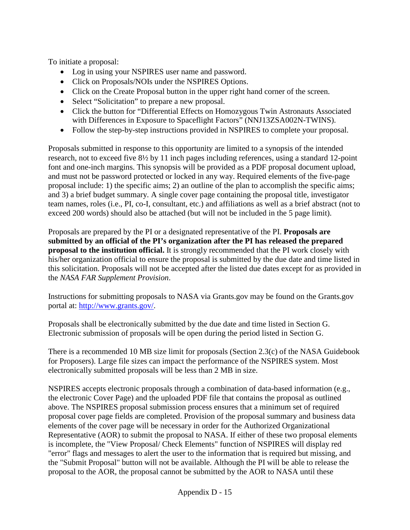To initiate a proposal:

- Log in using your NSPIRES user name and password.
- Click on Proposals/NOIs under the NSPIRES Options.
- Click on the Create Proposal button in the upper right hand corner of the screen.
- Select "Solicitation" to prepare a new proposal.
- Click the button for "Differential Effects on Homozygous Twin Astronauts Associated with Differences in Exposure to Spaceflight Factors" (NNJ13ZSA002N-TWINS).
- Follow the step-by-step instructions provided in NSPIRES to complete your proposal.

Proposals submitted in response to this opportunity are limited to a synopsis of the intended research, not to exceed five 8½ by 11 inch pages including references, using a standard 12-point font and one-inch margins. This synopsis will be provided as a PDF proposal document upload, and must not be password protected or locked in any way. Required elements of the five-page proposal include: 1) the specific aims; 2) an outline of the plan to accomplish the specific aims; and 3) a brief budget summary. A single cover page containing the proposal title, investigator team names, roles (i.e., PI, co-I, consultant, etc.) and affiliations as well as a brief abstract (not to exceed 200 words) should also be attached (but will not be included in the 5 page limit).

Proposals are prepared by the PI or a designated representative of the PI. **Proposals are submitted by an official of the PI's organization after the PI has released the prepared proposal to the institution official.** It is strongly recommended that the PI work closely with his/her organization official to ensure the proposal is submitted by the due date and time listed in this solicitation. Proposals will not be accepted after the listed due dates except for as provided in the *NASA FAR Supplement Provision*.

Instructions for submitting proposals to NASA via Grants.gov may be found on the Grants.gov portal at: [http://www.grants.gov/.](http://www.grants.gov/)

Proposals shall be electronically submitted by the due date and time listed in Section G. Electronic submission of proposals will be open during the period listed in Section G.

There is a recommended 10 MB size limit for proposals (Section 2.3(c) of the NASA Guidebook for Proposers). Large file sizes can impact the performance of the NSPIRES system. Most electronically submitted proposals will be less than 2 MB in size.

NSPIRES accepts electronic proposals through a combination of data-based information (e.g., the electronic Cover Page) and the uploaded PDF file that contains the proposal as outlined above. The NSPIRES proposal submission process ensures that a minimum set of required proposal cover page fields are completed. Provision of the proposal summary and business data elements of the cover page will be necessary in order for the Authorized Organizational Representative (AOR) to submit the proposal to NASA. If either of these two proposal elements is incomplete, the "View Proposal/ Check Elements" function of NSPIRES will display red "error" flags and messages to alert the user to the information that is required but missing, and the "Submit Proposal" button will not be available. Although the PI will be able to release the proposal to the AOR, the proposal cannot be submitted by the AOR to NASA until these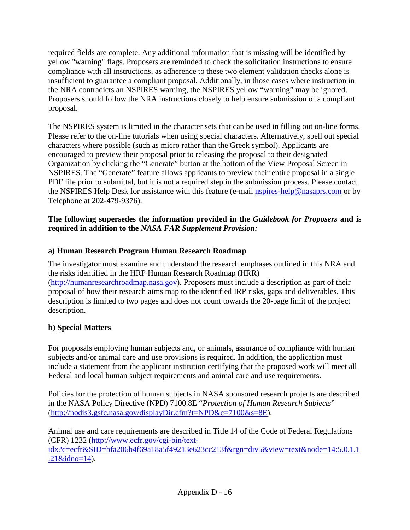required fields are complete. Any additional information that is missing will be identified by yellow "warning" flags. Proposers are reminded to check the solicitation instructions to ensure compliance with all instructions, as adherence to these two element validation checks alone is insufficient to guarantee a compliant proposal. Additionally, in those cases where instruction in the NRA contradicts an NSPIRES warning, the NSPIRES yellow "warning" may be ignored. Proposers should follow the NRA instructions closely to help ensure submission of a compliant proposal.

The NSPIRES system is limited in the character sets that can be used in filling out on-line forms. Please refer to the on-line tutorials when using special characters. Alternatively, spell out special characters where possible (such as micro rather than the Greek symbol). Applicants are encouraged to preview their proposal prior to releasing the proposal to their designated Organization by clicking the "Generate" button at the bottom of the View Proposal Screen in NSPIRES. The "Generate" feature allows applicants to preview their entire proposal in a single PDF file prior to submittal, but it is not a required step in the submission process. Please contact the NSPIRES Help Desk for assistance with this feature (e-mail [nspires-help@nasaprs.com](mailto:nspires-help@nasaprs.com) or by Telephone at 202-479-9376).

#### **The following supersedes the information provided in the** *Guidebook for Proposers* **and is required in addition to the** *NASA FAR Supplement Provision:*

#### **a) Human Research Program Human Research Roadmap**

The investigator must examine and understand the research emphases outlined in this NRA and the risks identified in the HRP Human Research Roadmap (HRR) [\(http://humanresearchroadmap.nasa.gov\)](http://humanresearchroadmap.nasa.gov/). Proposers must include a description as part of their proposal of how their research aims map to the identified IRP risks, gaps and deliverables. This description is limited to two pages and does not count towards the 20-page limit of the project description.

#### **b) Special Matters**

For proposals employing human subjects and, or animals, assurance of compliance with human subjects and/or animal care and use provisions is required. In addition, the application must include a statement from the applicant institution certifying that the proposed work will meet all Federal and local human subject requirements and animal care and use requirements.

Policies for the protection of human subjects in NASA sponsored research projects are described in the NASA Policy Directive (NPD) 7100.8E "*Protection of Human Research Subjects*" [\(http://nodis3.gsfc.nasa.gov/displayDir.cfm?t=NPD&c=7100&s=8E\)](http://nodis3.gsfc.nasa.gov/displayDir.cfm?t=NPD&c=7100&s=8E).

Animal use and care requirements are described in Title 14 of the Code of Federal Regulations (CFR) 1232 [\(http://www.ecfr.gov/cgi-bin/text](http://www.ecfr.gov/cgi-bin/text-idx?c=ecfr&SID=bfa206b4f69a18a5f49213e623cc213f&rgn=div5&view=text&node=14:5.0.1.1.21&idno=14)[idx?c=ecfr&SID=bfa206b4f69a18a5f49213e623cc213f&rgn=div5&view=text&node=14:5.0.1.1](http://www.ecfr.gov/cgi-bin/text-idx?c=ecfr&SID=bfa206b4f69a18a5f49213e623cc213f&rgn=div5&view=text&node=14:5.0.1.1.21&idno=14) [.21&idno=14\)](http://www.ecfr.gov/cgi-bin/text-idx?c=ecfr&SID=bfa206b4f69a18a5f49213e623cc213f&rgn=div5&view=text&node=14:5.0.1.1.21&idno=14).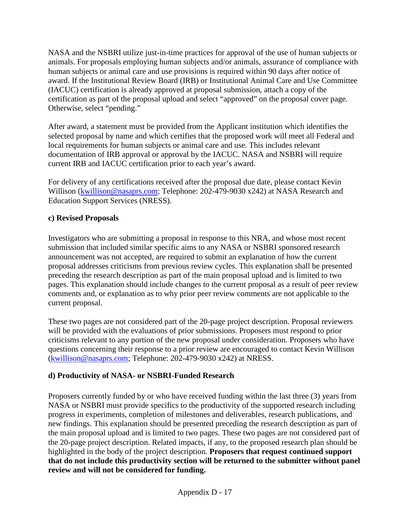NASA and the NSBRI utilize just-in-time practices for approval of the use of human subjects or animals. For proposals employing human subjects and/or animals, assurance of compliance with human subjects or animal care and use provisions is required within 90 days after notice of award. If the Institutional Review Board (IRB) or Institutional Animal Care and Use Committee (IACUC) certification is already approved at proposal submission, attach a copy of the certification as part of the proposal upload and select "approved" on the proposal cover page. Otherwise, select "pending."

After award, a statement must be provided from the Applicant institution which identifies the selected proposal by name and which certifies that the proposed work will meet all Federal and local requirements for human subjects or animal care and use. This includes relevant documentation of IRB approval or approval by the IACUC. NASA and NSBRI will require current IRB and IACUC certification prior to each year's award.

For delivery of any certifications received after the proposal due date, please contact Kevin Willison [\(kwillison@nasaprs.com;](mailto:kwillison@nasaprs.com) Telephone: 202-479-9030 x242) at NASA Research and Education Support Services (NRESS).

#### **c) Revised Proposals**

Investigators who are submitting a proposal in response to this NRA, and whose most recent submission that included similar specific aims to any NASA or NSBRI sponsored research announcement was not accepted, are required to submit an explanation of how the current proposal addresses criticisms from previous review cycles. This explanation shall be presented preceding the research description as part of the main proposal upload and is limited to two pages. This explanation should include changes to the current proposal as a result of peer review comments and, or explanation as to why prior peer review comments are not applicable to the current proposal.

These two pages are not considered part of the 20-page project description. Proposal reviewers will be provided with the evaluations of prior submissions. Proposers must respond to prior criticisms relevant to any portion of the new proposal under consideration. Proposers who have questions concerning their response to a prior review are encouraged to contact Kevin Willison [\(kwillison@nasaprs.com;](mailto:kwillison@nasaprs.com) Telephone: 202-479-9030 x242) at NRESS.

#### **d) Productivity of NASA- or NSBRI-Funded Research**

Proposers currently funded by or who have received funding within the last three (3) years from NASA or NSBRI must provide specifics to the productivity of the supported research including progress in experiments, completion of milestones and deliverables, research publications, and new findings. This explanation should be presented preceding the research description as part of the main proposal upload and is limited to two pages. These two pages are not considered part of the 20-page project description. Related impacts, if any, to the proposed research plan should be highlighted in the body of the project description. **Proposers that request continued support that do not include this productivity section will be returned to the submitter without panel review and will not be considered for funding.**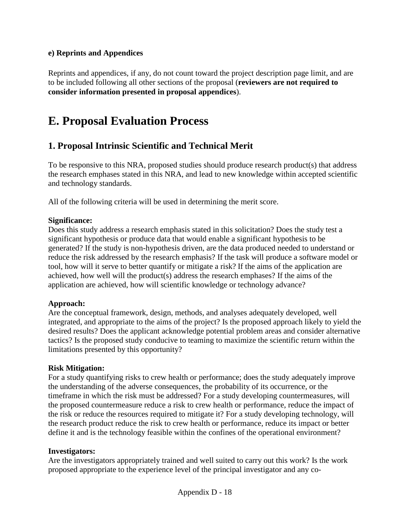#### **e) Reprints and Appendices**

Reprints and appendices, if any, do not count toward the project description page limit, and are to be included following all other sections of the proposal (**reviewers are not required to consider information presented in proposal appendices**).

# **E. Proposal Evaluation Process**

## **1. Proposal Intrinsic Scientific and Technical Merit**

To be responsive to this NRA, proposed studies should produce research product(s) that address the research emphases stated in this NRA, and lead to new knowledge within accepted scientific and technology standards.

All of the following criteria will be used in determining the merit score.

#### **Significance:**

Does this study address a research emphasis stated in this solicitation? Does the study test a significant hypothesis or produce data that would enable a significant hypothesis to be generated? If the study is non-hypothesis driven, are the data produced needed to understand or reduce the risk addressed by the research emphasis? If the task will produce a software model or tool, how will it serve to better quantify or mitigate a risk? If the aims of the application are achieved, how well will the product(s) address the research emphases? If the aims of the application are achieved, how will scientific knowledge or technology advance?

#### **Approach:**

Are the conceptual framework, design, methods, and analyses adequately developed, well integrated, and appropriate to the aims of the project? Is the proposed approach likely to yield the desired results? Does the applicant acknowledge potential problem areas and consider alternative tactics? Is the proposed study conducive to teaming to maximize the scientific return within the limitations presented by this opportunity?

#### **Risk Mitigation:**

For a study quantifying risks to crew health or performance; does the study adequately improve the understanding of the adverse consequences, the probability of its occurrence, or the timeframe in which the risk must be addressed? For a study developing countermeasures, will the proposed countermeasure reduce a risk to crew health or performance, reduce the impact of the risk or reduce the resources required to mitigate it? For a study developing technology, will the research product reduce the risk to crew health or performance, reduce its impact or better define it and is the technology feasible within the confines of the operational environment?

#### **Investigators:**

Are the investigators appropriately trained and well suited to carry out this work? Is the work proposed appropriate to the experience level of the principal investigator and any co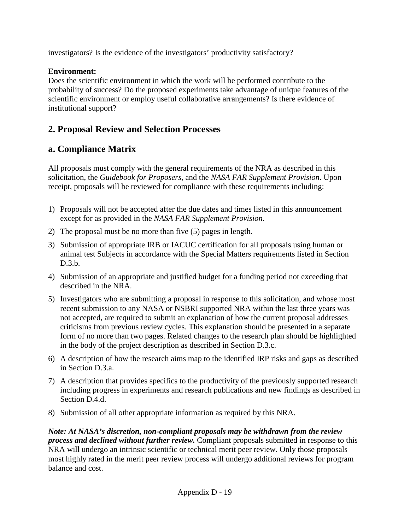investigators? Is the evidence of the investigators' productivity satisfactory?

#### **Environment:**

Does the scientific environment in which the work will be performed contribute to the probability of success? Do the proposed experiments take advantage of unique features of the scientific environment or employ useful collaborative arrangements? Is there evidence of institutional support?

## **2. Proposal Review and Selection Processes**

## **a. Compliance Matrix**

All proposals must comply with the general requirements of the NRA as described in this solicitation, the *Guidebook for Proposers*, and the *NASA FAR Supplement Provision*. Upon receipt, proposals will be reviewed for compliance with these requirements including:

- 1) Proposals will not be accepted after the due dates and times listed in this announcement except for as provided in the *NASA FAR Supplement Provision*.
- 2) The proposal must be no more than five (5) pages in length.
- 3) Submission of appropriate IRB or IACUC certification for all proposals using human or animal test Subjects in accordance with the Special Matters requirements listed in Section D.3.b.
- 4) Submission of an appropriate and justified budget for a funding period not exceeding that described in the NRA.
- 5) Investigators who are submitting a proposal in response to this solicitation, and whose most recent submission to any NASA or NSBRI supported NRA within the last three years was not accepted, are required to submit an explanation of how the current proposal addresses criticisms from previous review cycles. This explanation should be presented in a separate form of no more than two pages. Related changes to the research plan should be highlighted in the body of the project description as described in Section D.3.c.
- 6) A description of how the research aims map to the identified IRP risks and gaps as described in Section D.3.a.
- 7) A description that provides specifics to the productivity of the previously supported research including progress in experiments and research publications and new findings as described in Section D.4.d.
- 8) Submission of all other appropriate information as required by this NRA.

*Note: At NASA's discretion, non-compliant proposals may be withdrawn from the review process and declined without further review.* Compliant proposals submitted in response to this NRA will undergo an intrinsic scientific or technical merit peer review. Only those proposals most highly rated in the merit peer review process will undergo additional reviews for program balance and cost.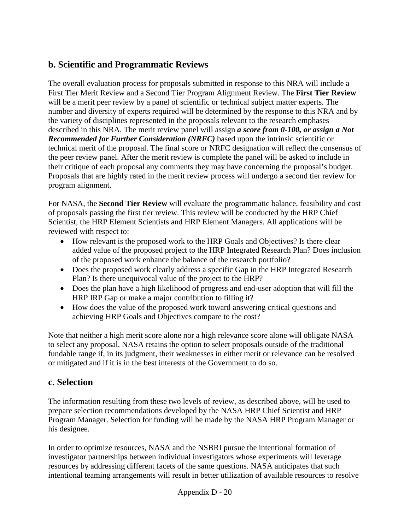## **b. Scientific and Programmatic Reviews**

The overall evaluation process for proposals submitted in response to this NRA will include a First Tier Merit Review and a Second Tier Program Alignment Review. The **First Tier Review** will be a merit peer review by a panel of scientific or technical subject matter experts. The number and diversity of experts required will be determined by the response to this NRA and by the variety of disciplines represented in the proposals relevant to the research emphases described in this NRA. The merit review panel will assign *a score from 0-100, or assign a Not Recommended for Further Consideration (NRFC)* based upon the intrinsic scientific or technical merit of the proposal. The final score or NRFC designation will reflect the consensus of the peer review panel. After the merit review is complete the panel will be asked to include in their critique of each proposal any comments they may have concerning the proposal's budget. Proposals that are highly rated in the merit review process will undergo a second tier review for program alignment.

For NASA, the **Second Tier Review** will evaluate the programmatic balance, feasibility and cost of proposals passing the first tier review. This review will be conducted by the HRP Chief Scientist, the HRP Element Scientists and HRP Element Managers. All applications will be reviewed with respect to:

- How relevant is the proposed work to the HRP Goals and Objectives? Is there clear added value of the proposed project to the HRP Integrated Research Plan? Does inclusion of the proposed work enhance the balance of the research portfolio?
- Does the proposed work clearly address a specific Gap in the HRP Integrated Research Plan? Is there unequivocal value of the project to the HRP?
- Does the plan have a high likelihood of progress and end-user adoption that will fill the HRP IRP Gap or make a major contribution to filling it?
- How does the value of the proposed work toward answering critical questions and achieving HRP Goals and Objectives compare to the cost?

Note that neither a high merit score alone nor a high relevance score alone will obligate NASA to select any proposal. NASA retains the option to select proposals outside of the traditional fundable range if, in its judgment, their weaknesses in either merit or relevance can be resolved or mitigated and if it is in the best interests of the Government to do so.

#### **c. Selection**

The information resulting from these two levels of review, as described above, will be used to prepare selection recommendations developed by the NASA HRP Chief Scientist and HRP Program Manager. Selection for funding will be made by the NASA HRP Program Manager or his designee.

In order to optimize resources, NASA and the NSBRI pursue the intentional formation of investigator partnerships between individual investigators whose experiments will leverage resources by addressing different facets of the same questions. NASA anticipates that such intentional teaming arrangements will result in better utilization of available resources to resolve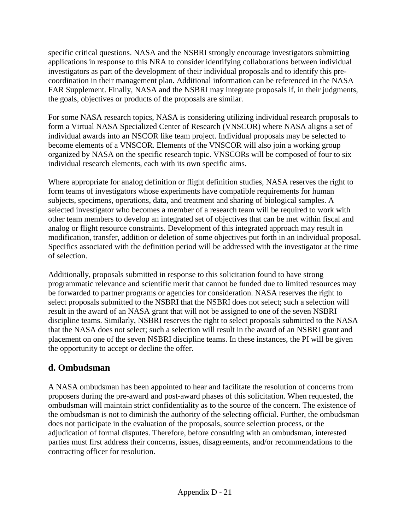specific critical questions. NASA and the NSBRI strongly encourage investigators submitting applications in response to this NRA to consider identifying collaborations between individual investigators as part of the development of their individual proposals and to identify this precoordination in their management plan. Additional information can be referenced in the NASA FAR Supplement. Finally, NASA and the NSBRI may integrate proposals if, in their judgments, the goals, objectives or products of the proposals are similar.

For some NASA research topics, NASA is considering utilizing individual research proposals to form a Virtual NASA Specialized Center of Research (VNSCOR) where NASA aligns a set of individual awards into an NSCOR like team project. Individual proposals may be selected to become elements of a VNSCOR. Elements of the VNSCOR will also join a working group organized by NASA on the specific research topic. VNSCORs will be composed of four to six individual research elements, each with its own specific aims.

Where appropriate for analog definition or flight definition studies, NASA reserves the right to form teams of investigators whose experiments have compatible requirements for human subjects, specimens, operations, data, and treatment and sharing of biological samples. A selected investigator who becomes a member of a research team will be required to work with other team members to develop an integrated set of objectives that can be met within fiscal and analog or flight resource constraints. Development of this integrated approach may result in modification, transfer, addition or deletion of some objectives put forth in an individual proposal. Specifics associated with the definition period will be addressed with the investigator at the time of selection.

Additionally, proposals submitted in response to this solicitation found to have strong programmatic relevance and scientific merit that cannot be funded due to limited resources may be forwarded to partner programs or agencies for consideration. NASA reserves the right to select proposals submitted to the NSBRI that the NSBRI does not select; such a selection will result in the award of an NASA grant that will not be assigned to one of the seven NSBRI discipline teams. Similarly, NSBRI reserves the right to select proposals submitted to the NASA that the NASA does not select; such a selection will result in the award of an NSBRI grant and placement on one of the seven NSBRI discipline teams. In these instances, the PI will be given the opportunity to accept or decline the offer.

# **d. Ombudsman**

A NASA ombudsman has been appointed to hear and facilitate the resolution of concerns from proposers during the pre-award and post-award phases of this solicitation. When requested, the ombudsman will maintain strict confidentiality as to the source of the concern. The existence of the ombudsman is not to diminish the authority of the selecting official. Further, the ombudsman does not participate in the evaluation of the proposals, source selection process, or the adjudication of formal disputes. Therefore, before consulting with an ombudsman, interested parties must first address their concerns, issues, disagreements, and/or recommendations to the contracting officer for resolution.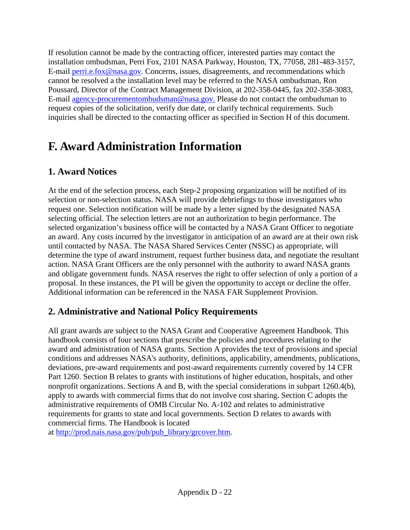If resolution cannot be made by the contracting officer, interested parties may contact the installation ombudsman, Perri Fox, 2101 NASA Parkway, Houston, TX, 77058, 281-483-3157, E-mail [perri.e.fox@nasa.gov.](mailto:perri.e.fox@nasa.gov) Concerns, issues, disagreements, and recommendations which cannot be resolved a the installation level may be referred to the NASA ombudsman, Ron Poussard, Director of the Contract Management Division, at 202-358-0445, fax 202-358-3083, E-mail [agency-procurementombudsman@nasa.gov.](mailto:agency-procurementombudsman@nasa.gov) Please do not contact the ombudsman to request copies of the solicitation, verify due date, or clarify technical requirements. Such inquiries shall be directed to the contacting officer as specified in Section H of this document.

# **F. Award Administration Information**

# **1. Award Notices**

At the end of the selection process, each Step-2 proposing organization will be notified of its selection or non-selection status. NASA will provide debriefings to those investigators who request one. Selection notification will be made by a letter signed by the designated NASA selecting official. The selection letters are not an authorization to begin performance. The selected organization's business office will be contacted by a NASA Grant Officer to negotiate an award. Any costs incurred by the investigator in anticipation of an award are at their own risk until contacted by NASA. The NASA Shared Services Center (NSSC) as appropriate, will determine the type of award instrument, request further business data, and negotiate the resultant action. NASA Grant Officers are the only personnel with the authority to award NASA grants and obligate government funds. NASA reserves the right to offer selection of only a portion of a proposal. In these instances, the PI will be given the opportunity to accept or decline the offer. Additional information can be referenced in the NASA FAR Supplement Provision.

## **2. Administrative and National Policy Requirements**

All grant awards are subject to the NASA Grant and Cooperative Agreement Handbook. This handbook consists of four sections that prescribe the policies and procedures relating to the award and administration of NASA grants. Section A provides the text of provisions and special conditions and addresses NASA's authority, definitions, applicability, amendments, publications, deviations, pre-award requirements and post-award requirements currently covered by 14 CFR Part 1260. Section B relates to grants with institutions of higher education, hospitals, and other nonprofit organizations. Sections A and B, with the special considerations in subpart 1260.4(b), apply to awards with commercial firms that do not involve cost sharing. Section C adopts the administrative requirements of OMB Circular No. A-102 and relates to administrative requirements for grants to state and local governments. Section D relates to awards with commercial firms. The Handbook is located at [http://prod.nais.nasa.gov/pub/pub\\_library/grcover.htm.](http://prod.nais.nasa.gov/pub/pub_library/grcover.htm)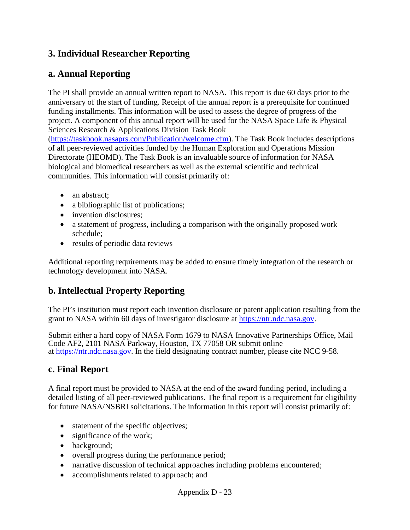## **3. Individual Researcher Reporting**

#### **a. Annual Reporting**

The PI shall provide an annual written report to NASA. This report is due 60 days prior to the anniversary of the start of funding. Receipt of the annual report is a prerequisite for continued funding installments. This information will be used to assess the degree of progress of the project. A component of this annual report will be used for the NASA Space Life & Physical Sciences Research & Applications Division Task Book

[\(https://taskbook.nasaprs.com/Publication/welcome.cfm\)](https://taskbook.nasaprs.com/Publication/welcome.cfm). The Task Book includes descriptions of all peer-reviewed activities funded by the Human Exploration and Operations Mission Directorate (HEOMD). The Task Book is an invaluable source of information for NASA biological and biomedical researchers as well as the external scientific and technical communities. This information will consist primarily of:

- an abstract;
- a bibliographic list of publications;
- invention disclosures;
- a statement of progress, including a comparison with the originally proposed work schedule;
- results of periodic data reviews

Additional reporting requirements may be added to ensure timely integration of the research or technology development into NASA.

## **b. Intellectual Property Reporting**

The PI's institution must report each invention disclosure or patent application resulting from the grant to NASA within 60 days of investigator disclosure at [https://ntr.ndc.nasa.gov.](https://ntr.ndc.nasa.gov/)

Submit either a hard copy of NASA Form 1679 to NASA Innovative Partnerships Office, Mail Code AF2, 2101 NASA Parkway, Houston, TX 77058 OR submit online at [https://ntr.ndc.nasa.gov.](https://ntr.ndc.nasa.gov/) In the field designating contract number, please cite NCC 9-58.

## **c. Final Report**

A final report must be provided to NASA at the end of the award funding period, including a detailed listing of all peer-reviewed publications. The final report is a requirement for eligibility for future NASA/NSBRI solicitations. The information in this report will consist primarily of:

- statement of the specific objectives;
- significance of the work;
- background:
- overall progress during the performance period;
- narrative discussion of technical approaches including problems encountered;
- accomplishments related to approach; and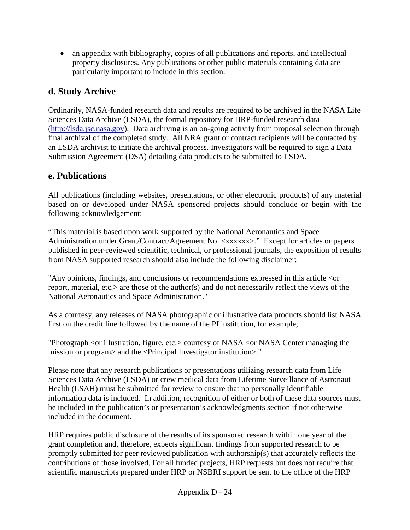• an appendix with bibliography, copies of all publications and reports, and intellectual property disclosures. Any publications or other public materials containing data are particularly important to include in this section.

# **d. Study Archive**

Ordinarily, NASA-funded research data and results are required to be archived in the NASA Life Sciences Data Archive (LSDA), the formal repository for HRP-funded research data [\(http://lsda.jsc.nasa.gov\)](http://lsda.jsc.nasa.gov/). Data archiving is an on-going activity from proposal selection through final archival of the completed study. All NRA grant or contract recipients will be contacted by an LSDA archivist to initiate the archival process. Investigators will be required to sign a Data Submission Agreement (DSA) detailing data products to be submitted to LSDA.

# **e. Publications**

All publications (including websites, presentations, or other electronic products) of any material based on or developed under NASA sponsored projects should conclude or begin with the following acknowledgement:

"This material is based upon work supported by the National Aeronautics and Space Administration under Grant/Contract/Agreement No. <xxxxxx>." Except for articles or papers published in peer-reviewed scientific, technical, or professional journals, the exposition of results from NASA supported research should also include the following disclaimer:

"Any opinions, findings, and conclusions or recommendations expressed in this article <or report, material, etc.> are those of the author(s) and do not necessarily reflect the views of the National Aeronautics and Space Administration."

As a courtesy, any releases of NASA photographic or illustrative data products should list NASA first on the credit line followed by the name of the PI institution, for example,

"Photograph <or illustration, figure, etc.> courtesy of NASA <or NASA Center managing the mission or program> and the <Principal Investigator institution>."

Please note that any research publications or presentations utilizing research data from Life Sciences Data Archive (LSDA) or crew medical data from Lifetime Surveillance of Astronaut Health (LSAH) must be submitted for review to ensure that no personally identifiable information data is included. In addition, recognition of either or both of these data sources must be included in the publication's or presentation's acknowledgments section if not otherwise included in the document.

HRP requires public disclosure of the results of its sponsored research within one year of the grant completion and, therefore, expects significant findings from supported research to be promptly submitted for peer reviewed publication with authorship(s) that accurately reflects the contributions of those involved. For all funded projects, HRP requests but does not require that scientific manuscripts prepared under HRP or NSBRI support be sent to the office of the HRP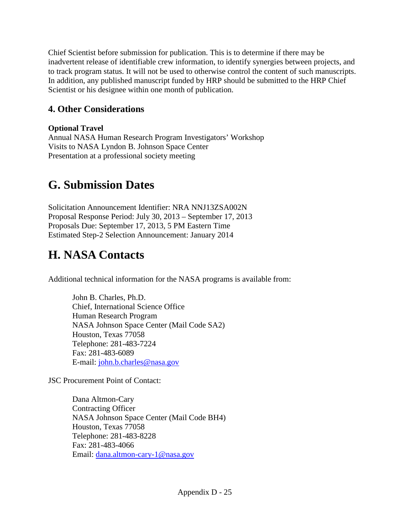Chief Scientist before submission for publication. This is to determine if there may be inadvertent release of identifiable crew information, to identify synergies between projects, and to track program status. It will not be used to otherwise control the content of such manuscripts. In addition, any published manuscript funded by HRP should be submitted to the HRP Chief Scientist or his designee within one month of publication.

# **4. Other Considerations**

#### **Optional Travel**

Annual NASA Human Research Program Investigators' Workshop Visits to NASA Lyndon B. Johnson Space Center Presentation at a professional society meeting

# **G. Submission Dates**

Solicitation Announcement Identifier: NRA NNJ13ZSA002N Proposal Response Period: July 30, 2013 – September 17, 2013 Proposals Due: September 17, 2013, 5 PM Eastern Time Estimated Step-2 Selection Announcement: January 2014

# **H. NASA Contacts**

Additional technical information for the NASA programs is available from:

John B. Charles, Ph.D. Chief, International Science Office Human Research Program NASA Johnson Space Center (Mail Code SA2) Houston, Texas 77058 Telephone: 281-483-7224 Fax: 281-483-6089 E-mail: [john.b.charles@nasa.gov](mailto:john.b.charles@nasa.gov)

JSC Procurement Point of Contact:

Dana Altmon-Cary Contracting Officer NASA Johnson Space Center (Mail Code BH4) Houston, Texas 77058 Telephone: 281-483-8228 Fax: 281-483-4066 Email: [dana.altmon-cary-1@nasa.gov](mailto:dana.altmon-cary-1@nasa.gov)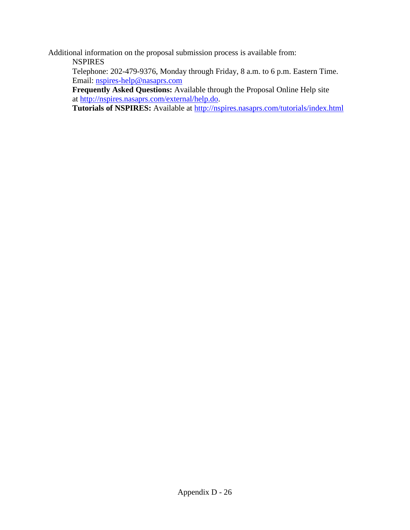Additional information on the proposal submission process is available from:

**NSPIRES** 

Telephone: 202-479-9376, Monday through Friday, 8 a.m. to 6 p.m. Eastern Time. Email: [nspires-help@nasaprs.com](mailto:nspires-help@nasaprs.com)

**Frequently Asked Questions:** Available through the Proposal Online Help site at [http://nspires.nasaprs.com/external/help.do.](http://nspires.nasaprs.com/external/help.do)

**Tutorials of NSPIRES:** Available at<http://nspires.nasaprs.com/tutorials/index.html>